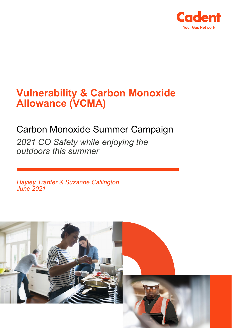

# **Vulnerability & Carbon Monoxide Allowance (VCMA)**

## Carbon Monoxide Summer Campaign

*2021 CO Safety while enjoying the outdoors this summer*

*Hayley Tranter & Suzanne Callington June 2021*

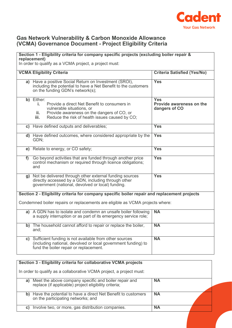

## **Gas Network Vulnerability & Carbon Monoxide Allowance (VCMA) Governance Document - Project Eligibility Criteria**

#### **Section 1 - Eligibility criteria for company specific projects (excluding boiler repair & replacement)**

In order to qualify as a VCMA project, a project must:

|   | <b>VCMA Eligibility Criteria</b>                                                                                                                                                                             | <b>Criteria Satisfied (Yes/No)</b>                             |  |  |  |
|---|--------------------------------------------------------------------------------------------------------------------------------------------------------------------------------------------------------------|----------------------------------------------------------------|--|--|--|
|   | a) Have a positive Social Return on Investment (SROI),<br>including the potential to have a Net Benefit to the customers<br>on the funding GDN's network(s);                                                 | <b>Yes</b>                                                     |  |  |  |
|   | b) Either:<br>Provide a direct Net Benefit to consumers in<br>i.<br>vulnerable situations, or<br>Provide awareness on the dangers of CO, or<br>ii.<br>Reduce the risk of health issues caused by CO;<br>iii. | <b>Yes</b><br><b>Provide awareness on the</b><br>dangers of CO |  |  |  |
|   | c) Have defined outputs and deliverables;                                                                                                                                                                    | <b>Yes</b>                                                     |  |  |  |
|   | d) Have defined outcomes, where considered appropriate by the<br>GDN;                                                                                                                                        | <b>Yes</b>                                                     |  |  |  |
|   | e) Relate to energy, or CO safety;                                                                                                                                                                           | <b>Yes</b>                                                     |  |  |  |
| f | Go beyond activities that are funded through another price<br>control mechanism or required through licence obligations;<br>and                                                                              | <b>Yes</b>                                                     |  |  |  |
|   | g) Not be delivered through other external funding sources<br><b>Yes</b><br>directly accessed by a GDN, including through other<br>government (national, devolved or local) funding.                         |                                                                |  |  |  |
|   | Section 2 - Eligibility criteria for company specific boiler repair and replacement projects                                                                                                                 |                                                                |  |  |  |
|   | Condemned boiler repairs or replacements are eligible as VCMA projects where:                                                                                                                                |                                                                |  |  |  |
|   | a) A GDN has to isolate and condemn an unsafe boiler following<br>a supply interruption or as part of its emergency service role;                                                                            | <b>NA</b>                                                      |  |  |  |
|   | b) The household cannot afford to repair or replace the boiler,<br>and;                                                                                                                                      | <b>NA</b>                                                      |  |  |  |
|   | c) Sufficient funding is not available from other sources<br>(including national, devolved or local government funding) to<br>fund the boiler repair or replacement.                                         | <b>NA</b>                                                      |  |  |  |

|    | Section 3 - Eligibility criteria for collaborative VCMA projects                                               |           |  |
|----|----------------------------------------------------------------------------------------------------------------|-----------|--|
|    | In order to qualify as a collaborative VCMA project, a project must:                                           |           |  |
| a) | Meet the above company specific and boiler repair and<br>replace (if applicable) project eligibility criteria; | <b>NA</b> |  |
| b) | Have the potential to have a direct Net Benefit to customers<br>on the participating networks; and             | <b>NA</b> |  |
| C) | Involve two, or more, gas distribution companies.                                                              | <b>NA</b> |  |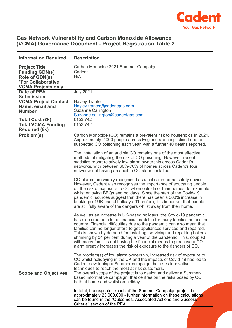

## **Gas Network Vulnerability and Carbon Monoxide Allowance (VCMA) Governance Document - Project Registration Table 2**

| <b>Information Required</b>                                              | <b>Description</b>                                                                                                                                                                                                                                                                                                                                                                                                                                                                                                                                                                                  |  |  |  |  |
|--------------------------------------------------------------------------|-----------------------------------------------------------------------------------------------------------------------------------------------------------------------------------------------------------------------------------------------------------------------------------------------------------------------------------------------------------------------------------------------------------------------------------------------------------------------------------------------------------------------------------------------------------------------------------------------------|--|--|--|--|
| <b>Project Title</b>                                                     | Carbon Monoxide 2021 Summer Campaign                                                                                                                                                                                                                                                                                                                                                                                                                                                                                                                                                                |  |  |  |  |
| <b>Funding GDN(s)</b>                                                    | Cadent                                                                                                                                                                                                                                                                                                                                                                                                                                                                                                                                                                                              |  |  |  |  |
| Role of GDN(s)<br><b>*For Collaborative</b><br><b>VCMA Projects only</b> | N/A                                                                                                                                                                                                                                                                                                                                                                                                                                                                                                                                                                                                 |  |  |  |  |
| <b>Date of PEA</b><br><b>Submission</b>                                  | <b>July 2021</b>                                                                                                                                                                                                                                                                                                                                                                                                                                                                                                                                                                                    |  |  |  |  |
| <b>VCMA Project Contact</b>                                              | <b>Hayley Tranter</b>                                                                                                                                                                                                                                                                                                                                                                                                                                                                                                                                                                               |  |  |  |  |
| Name, email and                                                          | Hayley.tranter@cadentgas.com                                                                                                                                                                                                                                                                                                                                                                                                                                                                                                                                                                        |  |  |  |  |
| <b>Number</b>                                                            | <b>Suzanne Callington</b>                                                                                                                                                                                                                                                                                                                                                                                                                                                                                                                                                                           |  |  |  |  |
|                                                                          | Suzanne.callington@cadentgas.com                                                                                                                                                                                                                                                                                                                                                                                                                                                                                                                                                                    |  |  |  |  |
| <b>Total Cost (£k)</b>                                                   | £153,742                                                                                                                                                                                                                                                                                                                                                                                                                                                                                                                                                                                            |  |  |  |  |
| <b>Total VCMA Funding</b>                                                | £153,742                                                                                                                                                                                                                                                                                                                                                                                                                                                                                                                                                                                            |  |  |  |  |
| <b>Required (£k)</b>                                                     |                                                                                                                                                                                                                                                                                                                                                                                                                                                                                                                                                                                                     |  |  |  |  |
| Problem(s)                                                               | Carbon Monoxide (CO) remains a prevalent risk to households in 2021.<br>Approximately 2,000 people across England are hospitalised due to<br>suspected CO poisoning each year, with a further 40 deaths reported.                                                                                                                                                                                                                                                                                                                                                                                   |  |  |  |  |
|                                                                          | The installation of an audible CO remains one of the most effective<br>methods of mitigating the risk of CO poisoning. However, recent<br>statistics report relatively low alarm ownership across Cadent's<br>networks, with between 60%-70% of homes across Cadent's four<br>networks not having an audible CO alarm installed.                                                                                                                                                                                                                                                                    |  |  |  |  |
|                                                                          | CO alarms are widely recognised as a critical in-home safety device.<br>However, Cadent also recognises the importance of educating people<br>on the risk of exposure to CO when outside of their homes; for example<br>whilst enjoying BBQs and holidays. Since the start of the Covid-19<br>pandemic, sources suggest that there has been a 300% increase in<br>bookings of UK-based holidays. Therefore, it is important that people<br>are still fully aware of the dangers whilst away from their home.                                                                                        |  |  |  |  |
|                                                                          | As well as an increase in UK-based holidays, the Covid-19 pandemic<br>has also created a lot of financial hardship for many families across the<br>country. Financial difficulties due to the pandemic can also mean that<br>families can no longer afford to get appliances serviced and repaired.<br>This is shown by demand for installing, servicing and repairing boilers<br>shrinking by 34 per cent during a year of the pandemic. This, coupled<br>with many families not having the financial means to purchase a CO<br>alarm greatly increases the risk of exposure to the dangers of CO. |  |  |  |  |
| <b>Scope and Objectives</b>                                              | The problem(s) of low alarm ownership, increased risk of exposure to<br>CO whilst holidaying in the UK and the impacts of Covid-19 has led to<br>Cadent developing a Summer campaign that uses innovative<br>techniques to reach the most at-risk customers.<br>The overall scope of the project is to design and deliver a Summer-                                                                                                                                                                                                                                                                 |  |  |  |  |
|                                                                          | based informative campaign, that centres on the risks posed by CO,<br>both at home and whilst on holiday.                                                                                                                                                                                                                                                                                                                                                                                                                                                                                           |  |  |  |  |
|                                                                          | In total, the expected reach of the Summer Campaign project is<br>approximately 23,000,000 - further information on these calculations<br>can be found in the "Outcomes, Associated Actions and Success'<br>Criteria" section of the PEA.                                                                                                                                                                                                                                                                                                                                                           |  |  |  |  |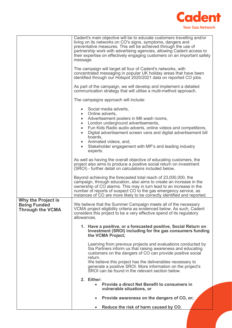

|                                                                      | Cadent's main objective will be to educate customers travelling and/or<br>living on its networks on CO's signs, symptoms, dangers and<br>preventative measures. This will be achieved through the use of<br>partnership work with advertising agencies, allowing Cadent access to<br>their expertise on effectively engaging customers on an important safety<br>message.<br>The campaign will target all four of Cadent's networks, with<br>concentrated messaging in popular UK holiday areas that have been<br>identified through our Hotspot 2020/2021 data on reported CO jobs.<br>As part of the campaign, we will develop and implement a detailed<br>communication strategy that will utilise a multi-method approach. |  |  |  |
|----------------------------------------------------------------------|--------------------------------------------------------------------------------------------------------------------------------------------------------------------------------------------------------------------------------------------------------------------------------------------------------------------------------------------------------------------------------------------------------------------------------------------------------------------------------------------------------------------------------------------------------------------------------------------------------------------------------------------------------------------------------------------------------------------------------|--|--|--|
|                                                                      | The campaigns approach will include:                                                                                                                                                                                                                                                                                                                                                                                                                                                                                                                                                                                                                                                                                           |  |  |  |
|                                                                      | Social media adverts,<br>Online adverts,<br>$\bullet$<br>Advertisement posters in M6 wash rooms,<br>$\bullet$<br>London underground advertisements,<br>$\bullet$<br>Fun Kids Radio audio adverts, online videos and competitions,<br>Digital advertisement screen vans and digital advertisement bill<br>boards.<br>Animated videos, and,<br>Stakeholder engagement with MP's and leading industry<br>experts.                                                                                                                                                                                                                                                                                                                 |  |  |  |
|                                                                      | As well as having the overall objective of educating customers, the<br>project also aims to produce a positive social return on investment<br>(SROI) - further detail on calculations included below.                                                                                                                                                                                                                                                                                                                                                                                                                                                                                                                          |  |  |  |
|                                                                      | Beyond achieving the forecasted total reach of 23,000,000, the<br>campaign, through education, also aims to create an increase in the<br>ownership of CO alarms. This may in turn lead to an increase in the<br>number of reports of suspect CO to the gas emergency service, as<br>instances of CO are more likely to be correctly identified and reported.                                                                                                                                                                                                                                                                                                                                                                   |  |  |  |
| <b>Why the Project is</b><br><b>Being Funded</b><br>Through the VCMA | We believe that the Summer Campaign meets all of the necessary<br>VCMA project eligibility criteria as evidenced below. As such, Cadent<br>considers this project to be a very effective spend of its regulatory<br>allowances.                                                                                                                                                                                                                                                                                                                                                                                                                                                                                                |  |  |  |
|                                                                      | 1. Have a positive, or a forecasted positive, Social Return on<br>Investment (SROI) including for the gas consumers funding<br>the VCMA Project:                                                                                                                                                                                                                                                                                                                                                                                                                                                                                                                                                                               |  |  |  |
|                                                                      | Learning from previous projects and evaluations conducted by<br>Sia Partners inform us that raising awareness and educating<br>customers on the dangers of CO can provide positive social<br>return.<br>We believe this project has the deliverables necessary to                                                                                                                                                                                                                                                                                                                                                                                                                                                              |  |  |  |
|                                                                      | generate a positive SROI. More information on the project's<br>SROI can be found in the relevant section below.                                                                                                                                                                                                                                                                                                                                                                                                                                                                                                                                                                                                                |  |  |  |
|                                                                      | 2. Either:<br><b>Provide a direct Net Benefit to consumers in</b><br>vulnerable situations, or                                                                                                                                                                                                                                                                                                                                                                                                                                                                                                                                                                                                                                 |  |  |  |
|                                                                      | Provide awareness on the dangers of CO, or;<br>$\bullet$                                                                                                                                                                                                                                                                                                                                                                                                                                                                                                                                                                                                                                                                       |  |  |  |
|                                                                      | Reduce the risk of harm caused by CO.                                                                                                                                                                                                                                                                                                                                                                                                                                                                                                                                                                                                                                                                                          |  |  |  |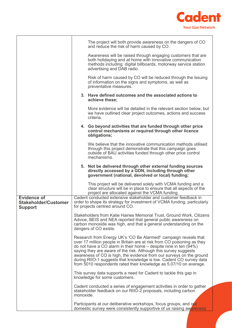

|                                                                     | The project will both provide awareness on the dangers of CO<br>and reduce the risk of harm caused by CO.                                                                                                                                                                                                                                                                                                                                                                                                  |  |  |
|---------------------------------------------------------------------|------------------------------------------------------------------------------------------------------------------------------------------------------------------------------------------------------------------------------------------------------------------------------------------------------------------------------------------------------------------------------------------------------------------------------------------------------------------------------------------------------------|--|--|
|                                                                     | Awareness will be raised through engaging customers that are<br>both holidaying and at home with innovative communication<br>methods including: digital billboards, motorway service station<br>advertising and DAB radio.                                                                                                                                                                                                                                                                                 |  |  |
|                                                                     | Risk of harm caused by CO will be reduced through the issuing<br>of information on the signs and symptoms, as well as<br>preventative measures.                                                                                                                                                                                                                                                                                                                                                            |  |  |
|                                                                     | 3. Have defined outcomes and the associated actions to<br>achieve these;                                                                                                                                                                                                                                                                                                                                                                                                                                   |  |  |
|                                                                     | More evidence will be detailed in the relevant section below, but<br>we have outlined clear project outcomes, actions and success<br>criteria.                                                                                                                                                                                                                                                                                                                                                             |  |  |
|                                                                     | 4. Go beyond activities that are funded through other price<br>control mechanisms or required through other licence<br>obligations;                                                                                                                                                                                                                                                                                                                                                                        |  |  |
|                                                                     | We believe that the innovative communication methods utilised<br>through this project demonstrate that this campaign goes<br>outside of BAU activities funded through other price control<br>mechanisms.                                                                                                                                                                                                                                                                                                   |  |  |
|                                                                     | 5. Not be delivered through other external funding sources<br>directly accessed by a GDN, including through other<br>government (national, devolved or local) funding;                                                                                                                                                                                                                                                                                                                                     |  |  |
|                                                                     | This project will be delivered solely with VCMA funding and a<br>clear structure will be in place to ensure that all aspects of the<br>project are allocated against the VCMA funding.                                                                                                                                                                                                                                                                                                                     |  |  |
| <b>Evidence of</b><br><b>Stakeholder/Customer</b><br><b>Support</b> | Cadent conducted extensive stakeholder and customer feedback in<br>order to shape its strategy for investment of VCMA funding, particularly<br>for projects centred around CO.                                                                                                                                                                                                                                                                                                                             |  |  |
|                                                                     | Stakeholders from Katie Haines Memorial Trust, Ground Work, Citizens<br>Advice, BEIS and NEA reported that general public awareness on<br>carbon monoxide was high, and that a general understanding on the<br>dangers of CO exists.                                                                                                                                                                                                                                                                       |  |  |
|                                                                     | Research from Energy UK's 'CO Be Alarmed!' campaign reveals that<br>over 17 million people in Britain are at risk from CO poisoning as they<br>do not have a CO alarm in their home $-$ despite nine in ten (94%)<br>saying they are aware of the risk. Although this survey suggests<br>awareness of CO is high, the evidence from our surveys on the ground<br>during RIIO-1 suggests that knowledge is low. Cadent CO survey data<br>from 5010 respondents rated their knowledge as 5.07/10 on average. |  |  |
|                                                                     | This survey data supports a need for Cadent to tackle this gap in<br>knowledge for some customers.                                                                                                                                                                                                                                                                                                                                                                                                         |  |  |
|                                                                     | Cadent conducted a series of engagement activities in order to gather<br>stakeholder feedback on our RIIO-2 proposals, including carbon<br>monoxide.                                                                                                                                                                                                                                                                                                                                                       |  |  |
|                                                                     | Participants at our deliberative workshops, focus groups, and our<br>domestic survey were consistently supportive of us raising awareness                                                                                                                                                                                                                                                                                                                                                                  |  |  |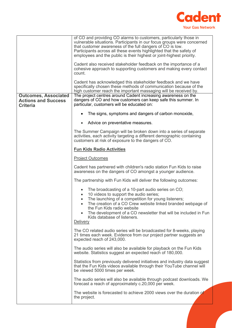

|                                                                              | of CO and providing CO alarms to customers, particularly those in<br>vulnerable situations. Participants in our focus groups were concerned<br>that customer awareness of the full dangers of CO is low.<br>Participants across all these events highlighted that the safety of<br>employees and the public is their highest or joint-highest priority.                                                     |  |  |  |
|------------------------------------------------------------------------------|-------------------------------------------------------------------------------------------------------------------------------------------------------------------------------------------------------------------------------------------------------------------------------------------------------------------------------------------------------------------------------------------------------------|--|--|--|
|                                                                              | Cadent also received stakeholder feedback on the importance of a<br>cohesive approach to supporting customers and making every contact<br>count.                                                                                                                                                                                                                                                            |  |  |  |
|                                                                              | Cadent has acknowledged this stakeholder feedback and we have<br>specifically chosen these methods of communication because of the<br>high customer reach the important massaging will be received by.                                                                                                                                                                                                      |  |  |  |
| <b>Outcomes, Associated</b><br><b>Actions and Success</b><br><b>Criteria</b> | The project centres around Cadent increasing awareness on the<br>dangers of CO and how customers can keep safe this summer. In<br>particular, customers will be educated on:                                                                                                                                                                                                                                |  |  |  |
|                                                                              | The signs, symptoms and dangers of carbon monoxide,                                                                                                                                                                                                                                                                                                                                                         |  |  |  |
|                                                                              | Advice on preventative measures.                                                                                                                                                                                                                                                                                                                                                                            |  |  |  |
|                                                                              | The Summer Campaign will be broken down into a series of separate<br>activities, each activity targeting a different demographic containing<br>customers at risk of exposure to the dangers of CO.                                                                                                                                                                                                          |  |  |  |
|                                                                              | <b>Fun Kids Radio Activities</b>                                                                                                                                                                                                                                                                                                                                                                            |  |  |  |
|                                                                              | <b>Project Outcomes</b>                                                                                                                                                                                                                                                                                                                                                                                     |  |  |  |
|                                                                              | Cadent has partnered with children's radio station Fun Kids to raise<br>awareness on the dangers of CO amongst a younger audience.                                                                                                                                                                                                                                                                          |  |  |  |
|                                                                              | The partnership with Fun Kids will deliver the following outcomes:                                                                                                                                                                                                                                                                                                                                          |  |  |  |
|                                                                              | The broadcasting of a 10-part audio series on CO;<br>$\bullet$<br>10 videos to support the audio series;<br>$\bullet$<br>The launching of a competition for young listeners;<br>$\bullet$<br>The creation of a CO Crew website linked branded webpage of<br>the Fun Kids radio website<br>The development of a CO newsletter that will be included in Fun<br>Kids database of listeners.<br><b>Delivery</b> |  |  |  |
|                                                                              | The CO related audio series will be broadcasted for 8-weeks, playing<br>21 times each week. Evidence from our project partner suggests an<br>expected reach of 243,000.                                                                                                                                                                                                                                     |  |  |  |
|                                                                              | The audio series will also be available for playback on the Fun Kids<br>website. Statistics suggest an expected reach of 180,000.                                                                                                                                                                                                                                                                           |  |  |  |
|                                                                              | Statistics from previously delivered initiatives and industry data suggest<br>that the Fun Kids videos available through their YouTube channel will<br>be viewed 5000 times per week.                                                                                                                                                                                                                       |  |  |  |
|                                                                              | The audio series will also be available through podcast downloads. We<br>forecast a reach of approximately c.20,000 per week.                                                                                                                                                                                                                                                                               |  |  |  |
|                                                                              | The website is forecasted to achieve 2000 views over the duration of<br>the project.                                                                                                                                                                                                                                                                                                                        |  |  |  |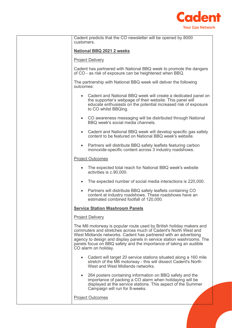

| Cadent predicts that the CO newsletter will be opened by 8000<br>customers.                                                                                                                                                                                                                                                                                                      |  |  |  |
|----------------------------------------------------------------------------------------------------------------------------------------------------------------------------------------------------------------------------------------------------------------------------------------------------------------------------------------------------------------------------------|--|--|--|
| National BBQ 2021 2 weeks                                                                                                                                                                                                                                                                                                                                                        |  |  |  |
| <b>Project Delivery</b>                                                                                                                                                                                                                                                                                                                                                          |  |  |  |
| Cadent has partnered with National BBQ week to promote the dangers<br>of CO - as risk of exposure can be heightened when BBQ.                                                                                                                                                                                                                                                    |  |  |  |
| The partnership with National BBQ week will deliver the following<br>outcomes:                                                                                                                                                                                                                                                                                                   |  |  |  |
| Cadent and National BBQ week will create a dedicated panel on<br>$\bullet$<br>the supporter's webpage of their website. This panel will<br>educate enthusiasts on the potential increased risk of exposure<br>to CO whilst BBQing.                                                                                                                                               |  |  |  |
| • CO awareness messaging will be distributed through National<br>BBQ week's social media channels.                                                                                                                                                                                                                                                                               |  |  |  |
| Cadent and National BBQ week will develop specific gas safety<br>$\bullet$<br>content to be featured on National BBQ week's website.                                                                                                                                                                                                                                             |  |  |  |
| Partners will distribute BBQ safety leaflets featuring carbon<br>$\bullet$<br>monoxide-specific content across 3 industry roadshows.                                                                                                                                                                                                                                             |  |  |  |
| <b>Project Outcomes</b>                                                                                                                                                                                                                                                                                                                                                          |  |  |  |
| The expected total reach for National BBQ week's website<br>$\bullet$<br>activities is c.90,000.                                                                                                                                                                                                                                                                                 |  |  |  |
| The expected number of social media interactions is 220,000.<br>$\bullet$                                                                                                                                                                                                                                                                                                        |  |  |  |
| Partners will distribute BBQ safety leaflets containing CO<br>$\bullet$<br>content at industry roadshows. These roadshows have an<br>estimated combined footfall of 120,000.                                                                                                                                                                                                     |  |  |  |
| <b>Service Station Washroom Panels</b>                                                                                                                                                                                                                                                                                                                                           |  |  |  |
| <b>Project Delivery</b>                                                                                                                                                                                                                                                                                                                                                          |  |  |  |
| The M6 motorway is popular route used by British holiday makers and<br>commuters and stretches across much of Cadent's North West and<br>West Midlands networks. Cadent has partnered with an advertising<br>agency to design and display panels in service station washrooms. The<br>panels focus on BBQ safety and the importance of taking an audible<br>CO alarm on holiday. |  |  |  |
| Cadent will target 20 service stations situated along a 160 mile<br>stretch of the M6 motorway - this will dissect Cadent's North<br>West and West Midlands networks.                                                                                                                                                                                                            |  |  |  |
| 264 posters containing information on BBQ safety and the<br>$\bullet$<br>importance of packing a CO alarm when holidaying will be<br>displayed at the service stations. This aspect of the Summer<br>Campaign will run for 8-weeks.                                                                                                                                              |  |  |  |
| <b>Project Outcomes</b>                                                                                                                                                                                                                                                                                                                                                          |  |  |  |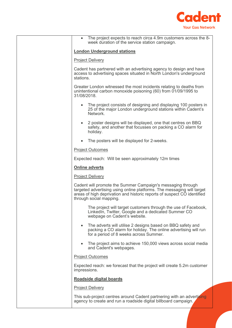

| The project expects to reach circa 4.9m customers across the 8-<br>week duration of the service station campaign.                                                                                                                           |  |  |  |
|---------------------------------------------------------------------------------------------------------------------------------------------------------------------------------------------------------------------------------------------|--|--|--|
| <b>London Underground stations</b>                                                                                                                                                                                                          |  |  |  |
| <b>Project Delivery</b>                                                                                                                                                                                                                     |  |  |  |
| Cadent has partnered with an advertising agency to design and have<br>access to advertising spaces situated in North London's underground<br>stations.                                                                                      |  |  |  |
| Greater London witnessed the most incidents relating to deaths from<br>unintentional carbon monoxide poisoning (60) from 01/09/1995 to<br>31/08/2018.                                                                                       |  |  |  |
| The project consists of designing and displaying 100 posters in<br>25 of the major London underground stations within Cadent's<br>Network.                                                                                                  |  |  |  |
| 2 poster designs will be displayed, one that centres on BBQ<br>safety, and another that focusses on packing a CO alarm for<br>holiday.                                                                                                      |  |  |  |
| The posters will be displayed for 2-weeks.                                                                                                                                                                                                  |  |  |  |
| <b>Project Outcomes</b>                                                                                                                                                                                                                     |  |  |  |
| Expected reach: Will be seen approximately 12m times                                                                                                                                                                                        |  |  |  |
| <b>Online adverts</b>                                                                                                                                                                                                                       |  |  |  |
| <b>Project Delivery</b>                                                                                                                                                                                                                     |  |  |  |
| Cadent will promote the Summer Campaign's messaging through<br>targeted advertising using online platforms. The messaging will target<br>areas of high deprivation and historic reports of suspect CO identified<br>through social mapping. |  |  |  |
| The project will target customers through the use of Facebook,<br>Linkedin, Twitter, Google and a dedicated Summer CO<br>webpage on Cadent's website.                                                                                       |  |  |  |
| The adverts will utilise 2 designs based on BBQ safety and<br>packing a CO alarm for holiday. The online advertising will run<br>for a period of 8 weeks across Summer.                                                                     |  |  |  |
| The project aims to achieve 150,000 views across social media<br>and Cadent's webpages.                                                                                                                                                     |  |  |  |
| Project Outcomes                                                                                                                                                                                                                            |  |  |  |
| Expected reach: we forecast that the project will create 5.2m customer<br>impressions.                                                                                                                                                      |  |  |  |
| Roadside digital boards                                                                                                                                                                                                                     |  |  |  |
| <b>Project Delivery</b>                                                                                                                                                                                                                     |  |  |  |
| This sub-project centres around Cadent partnering with an advertising<br>agency to create and run a roadside digital billboard campaign.                                                                                                    |  |  |  |
|                                                                                                                                                                                                                                             |  |  |  |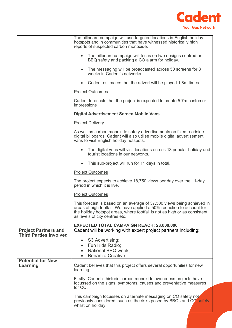

|                                                              | The billboard campaign will use targeted locations in English holiday<br>hotspots and in communities that have witnessed historically high<br>reports of suspected carbon monoxide.                                                                             |  |  |  |
|--------------------------------------------------------------|-----------------------------------------------------------------------------------------------------------------------------------------------------------------------------------------------------------------------------------------------------------------|--|--|--|
|                                                              | The billboard campaign will focus on two designs centred on<br>$\bullet$<br>BBQ safety and packing a CO alarm for holiday.                                                                                                                                      |  |  |  |
|                                                              | The messaging will be broadcasted across 50 screens for 8<br>$\bullet$<br>weeks in Cadent's networks.                                                                                                                                                           |  |  |  |
|                                                              | Cadent estimates that the advert will be played 1.8m times.<br>$\bullet$                                                                                                                                                                                        |  |  |  |
|                                                              | <b>Project Outcomes</b>                                                                                                                                                                                                                                         |  |  |  |
|                                                              | Cadent forecasts that the project is expected to create 5.7m customer<br>impressions                                                                                                                                                                            |  |  |  |
|                                                              | <b>Digital Advertisement Screen Mobile Vans</b>                                                                                                                                                                                                                 |  |  |  |
|                                                              | <b>Project Delivery</b>                                                                                                                                                                                                                                         |  |  |  |
|                                                              | As well as carbon monoxide safety advertisements on fixed roadside<br>digital billboards, Cadent will also utilise mobile digital advertisement<br>vans to visit English holiday hotspots.                                                                      |  |  |  |
|                                                              | The digital vans will visit locations across 13 popular holiday and<br>$\bullet$<br>tourist locations in our networks.                                                                                                                                          |  |  |  |
|                                                              | This sub-project will run for 11 days in total.                                                                                                                                                                                                                 |  |  |  |
|                                                              | <b>Project Outcomes</b>                                                                                                                                                                                                                                         |  |  |  |
|                                                              | The project expects to achieve 18,750 views per day over the 11-day<br>period in which it is live.                                                                                                                                                              |  |  |  |
|                                                              | <b>Project Outcomes</b>                                                                                                                                                                                                                                         |  |  |  |
|                                                              | This forecast is based on an average of 37,500 views being achieved in<br>areas of high footfall. We have applied a 50% reduction to account for<br>the holiday hotspot areas, where footfall is not as high or as consistent<br>as levels of city centres etc. |  |  |  |
|                                                              | EXPECTED TOTAL CAMPAIGN REACH: 23,000,000                                                                                                                                                                                                                       |  |  |  |
| <b>Project Partners and</b><br><b>Third Parties Involved</b> | Cadent will be working with expert project partners including:                                                                                                                                                                                                  |  |  |  |
|                                                              | S3 Advertising;                                                                                                                                                                                                                                                 |  |  |  |
|                                                              | Fun Kids Radio;<br>National BBQ week;                                                                                                                                                                                                                           |  |  |  |
|                                                              | <b>Bonanza Creative</b>                                                                                                                                                                                                                                         |  |  |  |
| <b>Potential for New</b><br>Learning                         | Cadent believes that this project offers several opportunities for new<br>learning.                                                                                                                                                                             |  |  |  |
|                                                              | Firstly, Cadent's historic carbon monoxide awareness projects have<br>focussed on the signs, symptoms, causes and preventative measures<br>for CO.                                                                                                              |  |  |  |
|                                                              | This campaign focusses on alternate messaging on CO safety not<br>previously considered, such as the risks posed by BBQs and CO safety<br>whilst on holiday.                                                                                                    |  |  |  |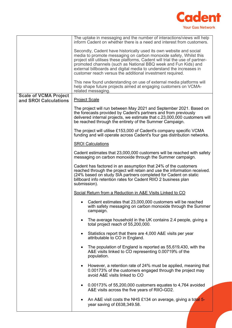

|                                                       | The uptake in messaging and the number of interactions/views will help<br>inform Cadent on whether there is a need and interest from customers.                                                                                                                                                  |                                                                                                                                                                                                                                                                                                                                                                                                                                 |  |  |  |
|-------------------------------------------------------|--------------------------------------------------------------------------------------------------------------------------------------------------------------------------------------------------------------------------------------------------------------------------------------------------|---------------------------------------------------------------------------------------------------------------------------------------------------------------------------------------------------------------------------------------------------------------------------------------------------------------------------------------------------------------------------------------------------------------------------------|--|--|--|
|                                                       |                                                                                                                                                                                                                                                                                                  | Secondly, Cadent have historically used its own website and social<br>media to promote messaging on carbon monoxide safety, Whilst this<br>project still utilises these platforms, Cadent will trial the use of partner-<br>promoted channels (such as National BBQ week and Fun Kids) and<br>external billboards and digital media to understand the increases in<br>customer reach versus the additional investment required. |  |  |  |
|                                                       |                                                                                                                                                                                                                                                                                                  | This new found understanding on use of external media platforms will<br>help shape future projects aimed at engaging customers on VCMA-<br>related messaging.                                                                                                                                                                                                                                                                   |  |  |  |
| <b>Scale of VCMA Project</b><br>and SROI Calculations | <b>Project Scale</b>                                                                                                                                                                                                                                                                             |                                                                                                                                                                                                                                                                                                                                                                                                                                 |  |  |  |
|                                                       |                                                                                                                                                                                                                                                                                                  | The project will run between May 2021 and September 2021. Based on<br>the forecasts provided by Cadent's partners and from previously<br>delivered internal projects, we estimate that $c.23,000,000$ customers will<br>be reached through the entirety of the Summer Campaign.                                                                                                                                                 |  |  |  |
|                                                       |                                                                                                                                                                                                                                                                                                  | The project will utilise £153,000 of Cadent's company specific VCMA<br>funding and will operate across Cadent's four gas distribution networks.                                                                                                                                                                                                                                                                                 |  |  |  |
|                                                       |                                                                                                                                                                                                                                                                                                  | <b>SROI Calculations</b>                                                                                                                                                                                                                                                                                                                                                                                                        |  |  |  |
|                                                       | Cadent estimates that 23,000,000 customers will be reached with safety<br>messaging on carbon monoxide through the Summer campaign.                                                                                                                                                              |                                                                                                                                                                                                                                                                                                                                                                                                                                 |  |  |  |
|                                                       | Cadent has factored in an assumption that 24% of the customers<br>reached through the project will retain and use the information received.<br>(24% based on study SIA partners completed for Cadent on static<br>billboard info retention rates for Cadent RIIO 2 business plan<br>submission). |                                                                                                                                                                                                                                                                                                                                                                                                                                 |  |  |  |
|                                                       | Social Return from a Reduction in A&E Visits Linked to CO                                                                                                                                                                                                                                        |                                                                                                                                                                                                                                                                                                                                                                                                                                 |  |  |  |
|                                                       |                                                                                                                                                                                                                                                                                                  | Cadent estimates that 23,000,000 customers will be reached<br>with safety messaging on carbon monoxide through the Summer<br>campaign.                                                                                                                                                                                                                                                                                          |  |  |  |
|                                                       | $\bullet$                                                                                                                                                                                                                                                                                        | The average household in the UK contains 2.4 people, giving a<br>total project reach of 55,200,000.                                                                                                                                                                                                                                                                                                                             |  |  |  |
|                                                       | $\bullet$                                                                                                                                                                                                                                                                                        | Statistics report that there are 4,000 A&E visits per year<br>attributable to CO in England.                                                                                                                                                                                                                                                                                                                                    |  |  |  |
|                                                       | $\bullet$                                                                                                                                                                                                                                                                                        | The population of England is reported as 55,619,430, with the<br>A&E visits linked to CO representing 0.00719% of the<br>population.                                                                                                                                                                                                                                                                                            |  |  |  |
|                                                       | $\bullet$                                                                                                                                                                                                                                                                                        | However, a retention rate of 24% must be applied, meaning that<br>0.00173% of the customers engaged through the project may<br>avoid A&E visits linked to CO                                                                                                                                                                                                                                                                    |  |  |  |
|                                                       | $\bullet$                                                                                                                                                                                                                                                                                        | 0.00173% of 55,200,000 customers equates to 4,764 avoided<br>A&E visits across the five years of RIIO-GD2.                                                                                                                                                                                                                                                                                                                      |  |  |  |
|                                                       | $\bullet$                                                                                                                                                                                                                                                                                        | An A&E visit costs the NHS £134 on average, giving a total 5-<br>year saving of £638,349.58.                                                                                                                                                                                                                                                                                                                                    |  |  |  |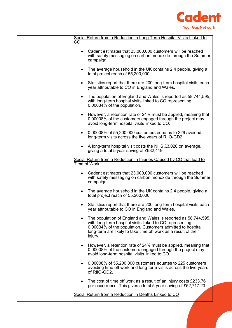

|           | Social Return from a Reduction in Long Term Hospital Visits Linked to                                                                                                                                                                                                  |
|-----------|------------------------------------------------------------------------------------------------------------------------------------------------------------------------------------------------------------------------------------------------------------------------|
| <u>CO</u> |                                                                                                                                                                                                                                                                        |
| $\bullet$ | Cadent estimates that 23,000,000 customers will be reached<br>with safety messaging on carbon monoxide through the Summer<br>campaign.                                                                                                                                 |
| $\bullet$ | The average household in the UK contains 2.4 people, giving a<br>total project reach of 55,200,000.                                                                                                                                                                    |
| $\bullet$ | Statistics report that there are 200 long-term hospital visits each<br>year attributable to CO in England and Wales.                                                                                                                                                   |
| $\bullet$ | The population of England and Wales is reported as 58,744,595,<br>with long-term hospital visits linked to CO representing<br>0.00034% of the population.                                                                                                              |
| $\bullet$ | However, a retention rate of 24% must be applied, meaning that<br>0.00008% of the customers engaged through the project may<br>avoid long-term hospital visits linked to CO.                                                                                           |
|           | $\bullet$ 0.00008% of 55,200,000 customers equates to 226 avoided<br>long-term visits across the five years of RIIO-GD2.                                                                                                                                               |
|           | • A long-term hospital visit costs the NHS £3,026 on average,<br>giving a total 5 year saving of £682,419.                                                                                                                                                             |
|           | Social Return from a Reduction in Injuries Caused by CO that lead to<br>Time of Work                                                                                                                                                                                   |
|           | Cadent estimates that 23,000,000 customers will be reached<br>with safety messaging on carbon monoxide through the Summer<br>campaign.                                                                                                                                 |
| $\bullet$ | The average household in the UK contains 2.4 people, giving a<br>total project reach of 55,200,000.                                                                                                                                                                    |
| ٠         | Statistics report that there are 200 long-term hospital visits each<br>year attributable to CO in England and Wales.                                                                                                                                                   |
|           | The population of England and Wales is reported as 58,744,595,<br>with long-term hospital visits linked to CO representing<br>0.00034% of the population. Customers admitted to hospital<br>long-term are likely to take time off work as a result of their<br>injury. |
| $\bullet$ | However, a retention rate of 24% must be applied, meaning that<br>0.00008% of the customers engaged through the project may<br>avoid long-term hospital visits linked to CO.                                                                                           |
| $\bullet$ | 0.00008% of 55,200,000 customers equates to 225 customers<br>avoiding time off work and long-term visits across the five years<br>of RIIO-GD2.                                                                                                                         |
| $\bullet$ | The cost of time off work as a result of an injury costs £233.76<br>per occurrence. This gives a total 5 year saving of £52,717.23.                                                                                                                                    |
|           | Social Return from a Reduction in Deaths Linked to CO                                                                                                                                                                                                                  |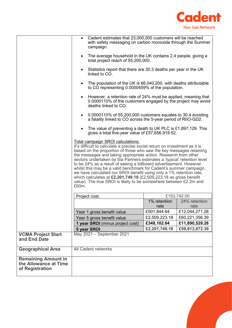

| Cadent estimates that 23,000,000 customers will be reached<br>with safety messaging on carbon monoxide through the Summer<br>campaign. |           |                                                                                                                                                                                                                                                                                                                                                                                                                                                                                                                                                                                                                                                                                                     |               |                |  |  |
|----------------------------------------------------------------------------------------------------------------------------------------|-----------|-----------------------------------------------------------------------------------------------------------------------------------------------------------------------------------------------------------------------------------------------------------------------------------------------------------------------------------------------------------------------------------------------------------------------------------------------------------------------------------------------------------------------------------------------------------------------------------------------------------------------------------------------------------------------------------------------------|---------------|----------------|--|--|
|                                                                                                                                        |           | The average household in the UK contains 2.4 people, giving a<br>total project reach of 55,200,000.                                                                                                                                                                                                                                                                                                                                                                                                                                                                                                                                                                                                 |               |                |  |  |
|                                                                                                                                        |           | Statistics report that there are 30.3 deaths per year in the UK<br>linked to CO.                                                                                                                                                                                                                                                                                                                                                                                                                                                                                                                                                                                                                    |               |                |  |  |
|                                                                                                                                        |           | The population of the UK is 66,040,200, with deaths attributable<br>to CO representing 0.0000459% of the population.                                                                                                                                                                                                                                                                                                                                                                                                                                                                                                                                                                                |               |                |  |  |
|                                                                                                                                        | $\bullet$ | However, a retention rate of 24% must be applied, meaning that<br>0.0000110% of the customers engaged by the project may avoid<br>deaths linked to CO.                                                                                                                                                                                                                                                                                                                                                                                                                                                                                                                                              |               |                |  |  |
|                                                                                                                                        | $\bullet$ | 0.0000110% of 55,200,000 customers equates to 30.4 avoiding<br>a fatality linked to CO across the 5-year period of RIIO-GD2.                                                                                                                                                                                                                                                                                                                                                                                                                                                                                                                                                                        |               |                |  |  |
|                                                                                                                                        | $\bullet$ | The value of preventing a death to UK PLC is £1,897,129. This<br>gives a total five-year value of £57,656,919.52.                                                                                                                                                                                                                                                                                                                                                                                                                                                                                                                                                                                   |               |                |  |  |
|                                                                                                                                        | £60m.     | Total campaign SROI calculations:<br>It's difficult to calculate a precise social return on investment as it is<br>based on the proportion of those who saw the key messages retaining<br>the messages and taking appropriate action. Research from other<br>sectors undertaken by Sia Partners estimates a 'typical' retention level<br>to be 24% as a result of seeing a billboard advertisement. However,<br>whilst this may be a valid benchmark for Cadent's summer campaign,<br>we have calculated our SROI benefit using only a 1% retention rate,<br>which calculates at £2,201,749.18 (£2,509,223.18 as gross benefit<br>value). The true SROI is likely to be somewhere between £2.2m and |               |                |  |  |
|                                                                                                                                        |           | Project cost:                                                                                                                                                                                                                                                                                                                                                                                                                                                                                                                                                                                                                                                                                       |               | £153,742.00    |  |  |
|                                                                                                                                        |           |                                                                                                                                                                                                                                                                                                                                                                                                                                                                                                                                                                                                                                                                                                     | 1% retention  | 24% retention  |  |  |
|                                                                                                                                        |           |                                                                                                                                                                                                                                                                                                                                                                                                                                                                                                                                                                                                                                                                                                     | rate          | rate           |  |  |
|                                                                                                                                        |           | Year 1 gross benefit value                                                                                                                                                                                                                                                                                                                                                                                                                                                                                                                                                                                                                                                                          | £501,844.64   | £12,044,271.28 |  |  |
|                                                                                                                                        |           | Year 5 gross benefit value                                                                                                                                                                                                                                                                                                                                                                                                                                                                                                                                                                                                                                                                          | £2,509,223.18 | £60,221,356.39 |  |  |
|                                                                                                                                        |           | 1 year SROI (minus project cost)                                                                                                                                                                                                                                                                                                                                                                                                                                                                                                                                                                                                                                                                    | £348,102.64   | £11,890,529.28 |  |  |
|                                                                                                                                        |           | 5 year SROI                                                                                                                                                                                                                                                                                                                                                                                                                                                                                                                                                                                                                                                                                         | £2,201,749.18 | £59,913,872.39 |  |  |
| <b>VCMA Project Start</b><br>and End Date                                                                                              |           | May 2021 - September 2021                                                                                                                                                                                                                                                                                                                                                                                                                                                                                                                                                                                                                                                                           |               |                |  |  |
| <b>Geographical Area</b>                                                                                                               |           | All Cadent networks                                                                                                                                                                                                                                                                                                                                                                                                                                                                                                                                                                                                                                                                                 |               |                |  |  |
| <b>Remaining Amount in</b><br>the Allowance at Time<br>of Registration                                                                 |           |                                                                                                                                                                                                                                                                                                                                                                                                                                                                                                                                                                                                                                                                                                     |               |                |  |  |